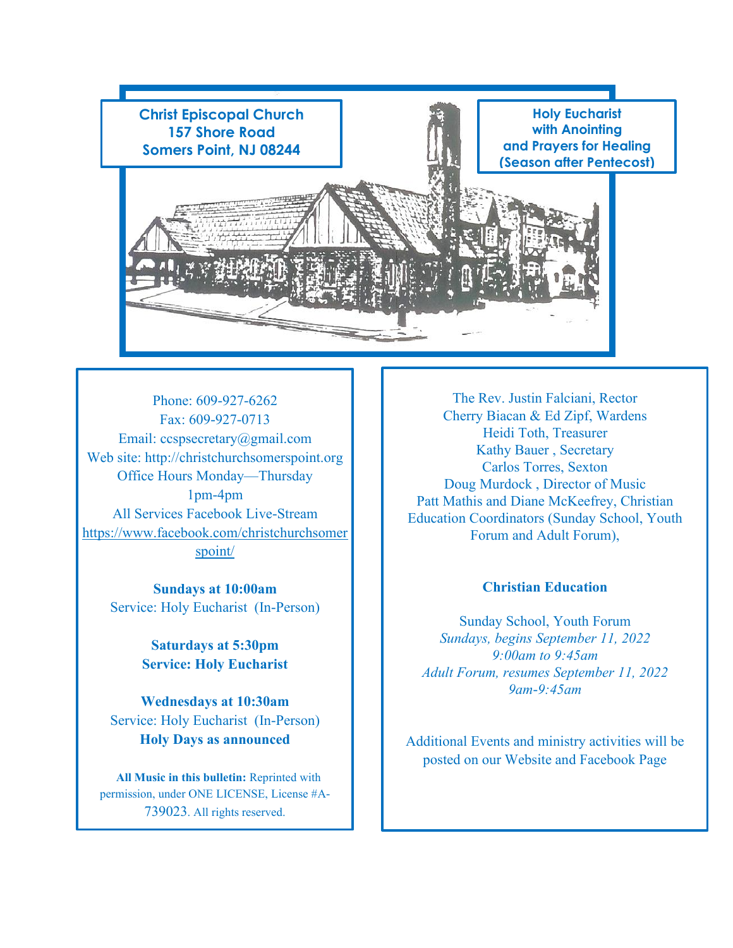

Phone: 609-927-6262 Fax: 609-927-0713 Email: ccspsecretary@gmail.com Web site: http://christchurchsomerspoint.org Office Hours Monday—Thursday 1pm-4pm All Services Facebook Live-Stream [https://www.facebook.com/christchurchsomer](https://www.facebook.com/christchurchsomerspoint/) [spoint/](https://www.facebook.com/christchurchsomerspoint/)

> **Sundays at 10:00am**  Service: Holy Eucharist (In-Person)

> > **Saturdays at 5:30pm Service: Holy Eucharist**

**Wednesdays at 10:30am** Service: Holy Eucharist (In-Person) **Holy Days as announced** 

 **All Music in this bulletin:** Reprinted with permission, under ONE LICENSE, License #A-739023. All rights reserved.

The Rev. Justin Falciani, Rector Cherry Biacan & Ed Zipf, Wardens Heidi Toth, Treasurer Kathy Bauer , Secretary Carlos Torres, Sexton Doug Murdock , Director of Music Patt Mathis and Diane McKeefrey, Christian Education Coordinators (Sunday School, Youth Forum and Adult Forum),

#### **Christian Education**

Sunday School, Youth Forum *Sundays, begins September 11, 2022 9:00am to 9:45am Adult Forum, resumes September 11, 2022 9am-9:45am*

Additional Events and ministry activities will be posted on our Website and Facebook Page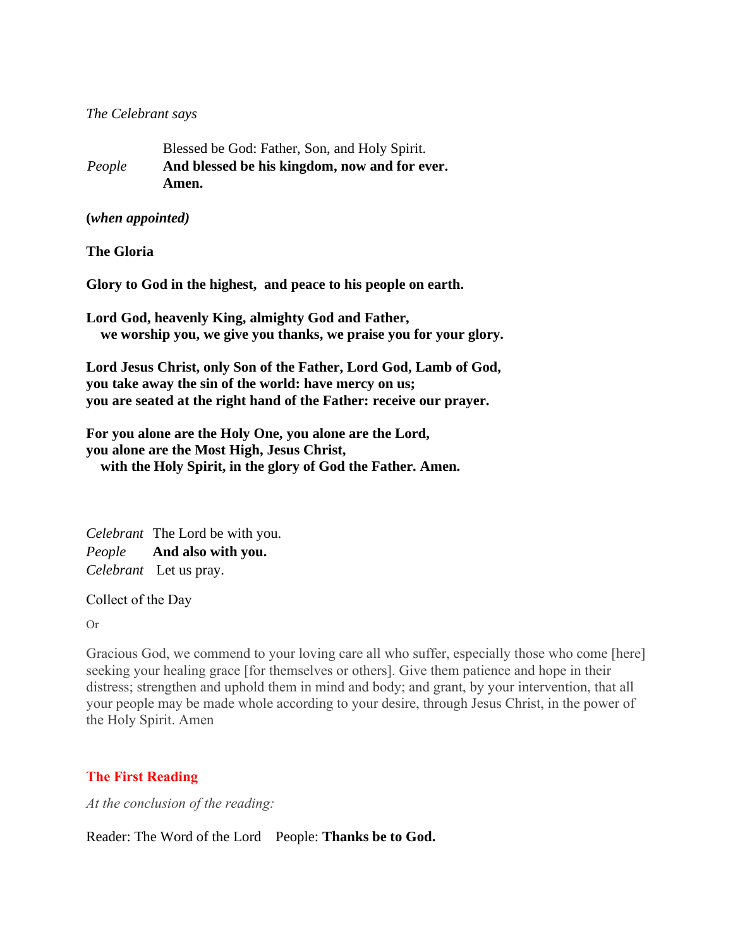*The Celebrant says*

Blessed be God: Father, Son, and Holy Spirit. *People* **And blessed be his kingdom, now and for ever. Amen.**

**(***when appointed)*

**The Gloria** 

**Glory to God in the highest, and peace to his people on earth.**

**Lord God, heavenly King, almighty God and Father, we worship you, we give you thanks, we praise you for your glory.**

**Lord Jesus Christ, only Son of the Father, Lord God, Lamb of God, you take away the sin of the world: have mercy on us; you are seated at the right hand of the Father: receive our prayer.**

**For you alone are the Holy One, you alone are the Lord, you alone are the Most High, Jesus Christ, with the Holy Spirit, in the glory of God the Father. Amen.**

*Celebrant* The Lord be with you. *People* **And also with you.** *Celebrant* Let us pray.

Collect of the Day

Or

Gracious God, we commend to your loving care all who suffer, especially those who come [here] seeking your healing grace [for themselves or others]. Give them patience and hope in their distress; strengthen and uphold them in mind and body; and grant, by your intervention, that all your people may be made whole according to your desire, through Jesus Christ, in the power of the Holy Spirit. Amen

## **The First Reading**

*At the conclusion of the reading:*

Reader: The Word of the Lord People: **Thanks be to God.**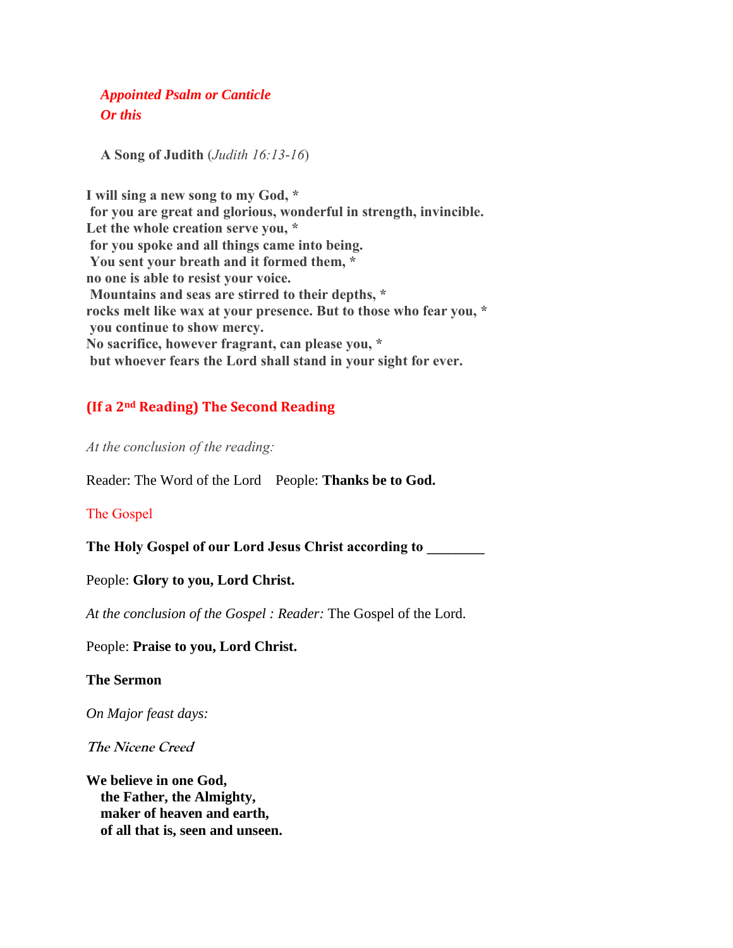# *Appointed Psalm or Canticle Or this*

**A Song of Judith** (*Judith 16:13-16*)

**I will sing a new song to my God, \* for you are great and glorious, wonderful in strength, invincible. Let the whole creation serve you, \* for you spoke and all things came into being. You sent your breath and it formed them, \* no one is able to resist your voice. Mountains and seas are stirred to their depths, \* rocks melt like wax at your presence. But to those who fear you, \* you continue to show mercy. No sacrifice, however fragrant, can please you, \* but whoever fears the Lord shall stand in your sight for ever.**

## **(If a 2nd Reading) The Second Reading**

*At the conclusion of the reading:*

Reader: The Word of the Lord People: **Thanks be to God.**

#### The Gospel

**The Holy Gospel of our Lord Jesus Christ according to \_\_\_\_\_\_\_\_**

#### People: **Glory to you, Lord Christ.**

*At the conclusion of the Gospel : Reader:* The Gospel of the Lord.

#### People: **Praise to you, Lord Christ.**

#### **The Sermon**

*On Major feast days:*

**The Nicene Creed**

**We believe in one God, the Father, the Almighty, maker of heaven and earth, of all that is, seen and unseen.**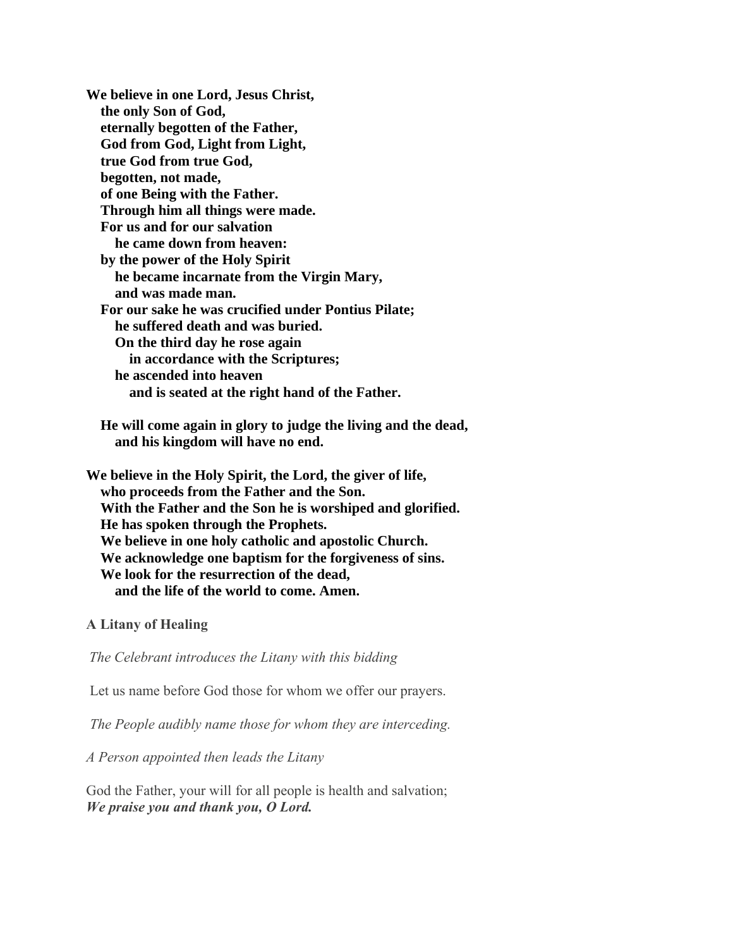**We believe in one Lord, Jesus Christ, the only Son of God, eternally begotten of the Father, God from God, Light from Light, true God from true God, begotten, not made, of one Being with the Father. Through him all things were made. For us and for our salvation he came down from heaven: by the power of the Holy Spirit he became incarnate from the Virgin Mary, and was made man. For our sake he was crucified under Pontius Pilate; he suffered death and was buried. On the third day he rose again in accordance with the Scriptures; he ascended into heaven and is seated at the right hand of the Father.**

 **He will come again in glory to judge the living and the dead, and his kingdom will have no end.**

**We believe in the Holy Spirit, the Lord, the giver of life, who proceeds from the Father and the Son. With the Father and the Son he is worshiped and glorified. He has spoken through the Prophets. We believe in one holy catholic and apostolic Church. We acknowledge one baptism for the forgiveness of sins. We look for the resurrection of the dead, and the life of the world to come. Amen.**

#### **A Litany of Healing**

*The Celebrant introduces the Litany with this bidding*

Let us name before God those for whom we offer our prayers.

*The People audibly name those for whom they are interceding.*

*A Person appointed then leads the Litany*

God the Father, your will for all people is health and salvation; *We praise you and thank you, O Lord.*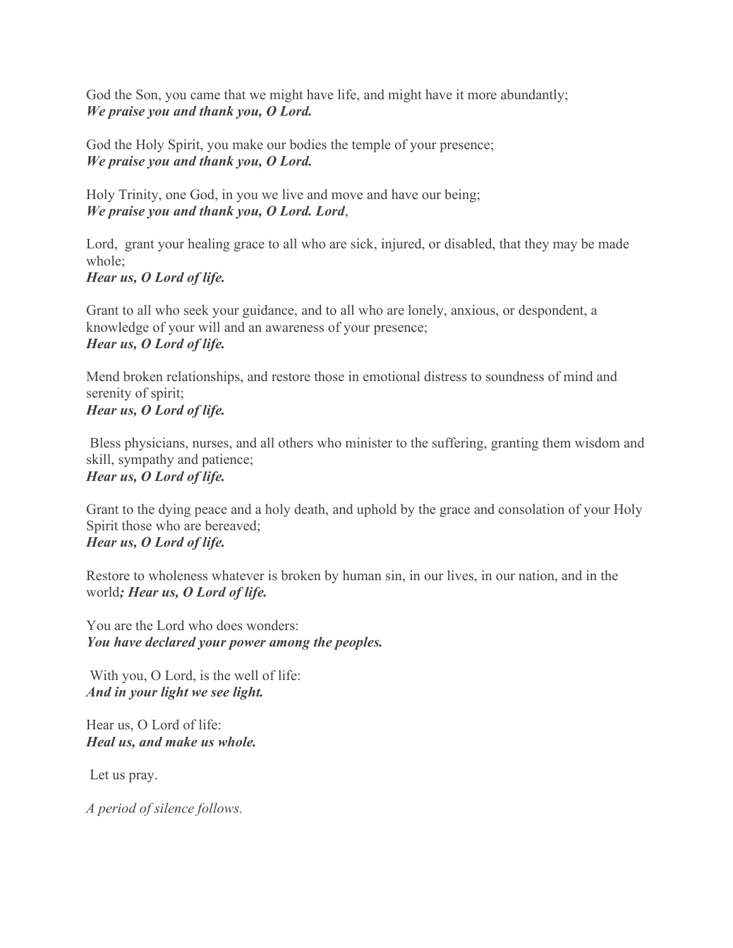God the Son, you came that we might have life, and might have it more abundantly; *We praise you and thank you, O Lord.*

God the Holy Spirit, you make our bodies the temple of your presence; *We praise you and thank you, O Lord.*

Holy Trinity, one God, in you we live and move and have our being; *We praise you and thank you, O Lord. Lord*,

Lord, grant your healing grace to all who are sick, injured, or disabled, that they may be made whole;

*Hear us, O Lord of life.*

Grant to all who seek your guidance, and to all who are lonely, anxious, or despondent, a knowledge of your will and an awareness of your presence; *Hear us, O Lord of life.*

Mend broken relationships, and restore those in emotional distress to soundness of mind and serenity of spirit; *Hear us, O Lord of life.*

Bless physicians, nurses, and all others who minister to the suffering, granting them wisdom and skill, sympathy and patience; *Hear us, O Lord of life.*

Grant to the dying peace and a holy death, and uphold by the grace and consolation of your Holy Spirit those who are bereaved; *Hear us, O Lord of life.*

Restore to wholeness whatever is broken by human sin, in our lives, in our nation, and in the world*; Hear us, O Lord of life.*

You are the Lord who does wonders: *You have declared your power among the peoples.*

With you, O Lord, is the well of life: *And in your light we see light.*

Hear us, O Lord of life: *Heal us, and make us whole.*

Let us pray.

*A period of silence follows.*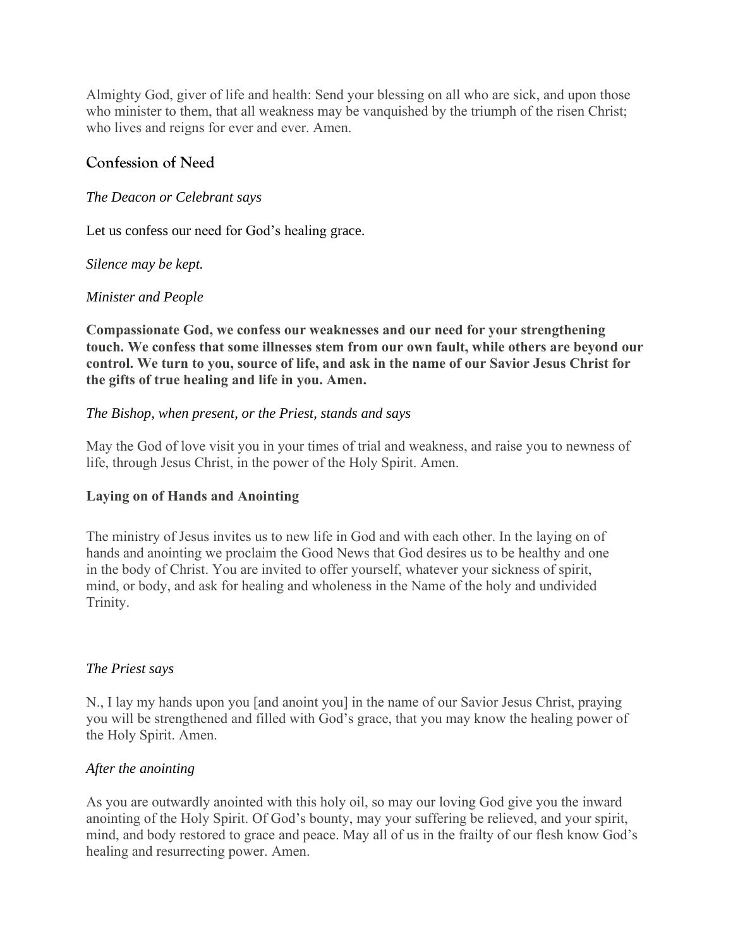Almighty God, giver of life and health: Send your blessing on all who are sick, and upon those who minister to them, that all weakness may be vanquished by the triumph of the risen Christ; who lives and reigns for ever and ever. Amen.

# **Confession of Need**

## *The Deacon or Celebrant says*

Let us confess our need for God's healing grace.

*Silence may be kept.*

#### *Minister and People*

**Compassionate God, we confess our weaknesses and our need for your strengthening touch. We confess that some illnesses stem from our own fault, while others are beyond our control. We turn to you, source of life, and ask in the name of our Savior Jesus Christ for the gifts of true healing and life in you. Amen.**

#### *The Bishop, when present, or the Priest, stands and says*

May the God of love visit you in your times of trial and weakness, and raise you to newness of life, through Jesus Christ, in the power of the Holy Spirit. Amen.

## **Laying on of Hands and Anointing**

The ministry of Jesus invites us to new life in God and with each other. In the laying on of hands and anointing we proclaim the Good News that God desires us to be healthy and one in the body of Christ. You are invited to offer yourself, whatever your sickness of spirit, mind, or body, and ask for healing and wholeness in the Name of the holy and undivided Trinity.

## *The Priest says*

N., I lay my hands upon you [and anoint you] in the name of our Savior Jesus Christ, praying you will be strengthened and filled with God's grace, that you may know the healing power of the Holy Spirit. Amen.

## *After the anointing*

As you are outwardly anointed with this holy oil, so may our loving God give you the inward anointing of the Holy Spirit. Of God's bounty, may your suffering be relieved, and your spirit, mind, and body restored to grace and peace. May all of us in the frailty of our flesh know God's healing and resurrecting power. Amen.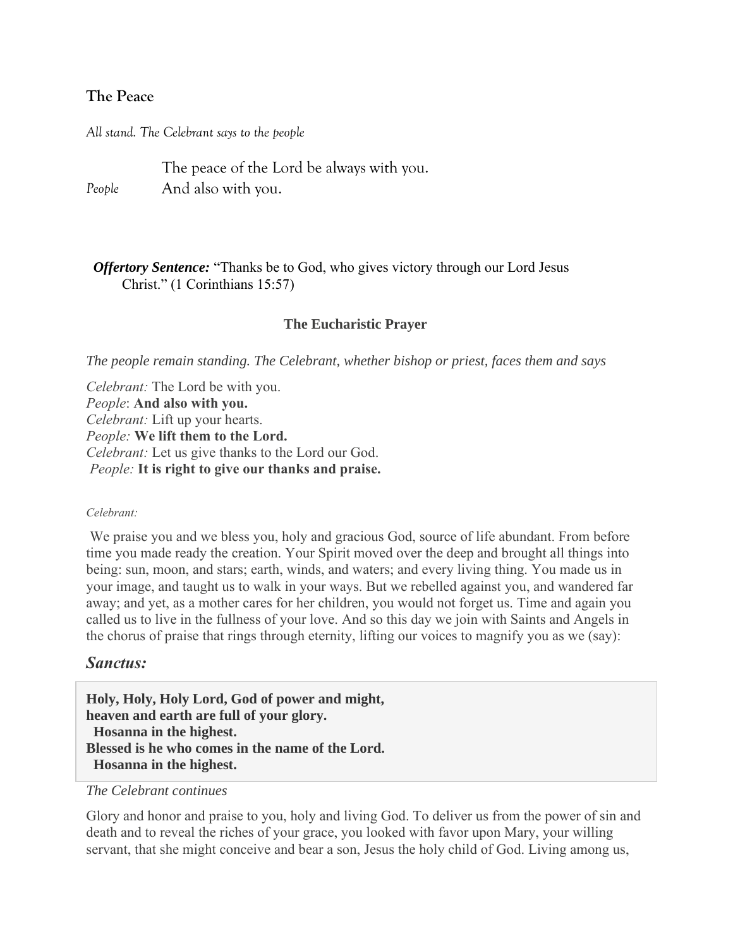## **The Peace**

*All stand. The Celebrant says to the people*

The peace of the Lord be always with you. *People* And also with you.

*Offertory Sentence:* "Thanks be to God, who gives victory through our Lord Jesus Christ." (1 Corinthians 15:57)

#### **The Eucharistic Prayer**

*The people remain standing. The Celebrant, whether bishop or priest, faces them and says*

*Celebrant:* The Lord be with you. *People*: **And also with you.** *Celebrant:* Lift up your hearts. *People:* **We lift them to the Lord.** *Celebrant:* Let us give thanks to the Lord our God. *People:* **It is right to give our thanks and praise.**

#### *Celebrant:*

We praise you and we bless you, holy and gracious God, source of life abundant. From before time you made ready the creation. Your Spirit moved over the deep and brought all things into being: sun, moon, and stars; earth, winds, and waters; and every living thing. You made us in your image, and taught us to walk in your ways. But we rebelled against you, and wandered far away; and yet, as a mother cares for her children, you would not forget us. Time and again you called us to live in the fullness of your love. And so this day we join with Saints and Angels in the chorus of praise that rings through eternity, lifting our voices to magnify you as we (say):

#### *Sanctus:*

**Holy, Holy, Holy Lord, God of power and might, heaven and earth are full of your glory. Hosanna in the highest. Blessed is he who comes in the name of the Lord. Hosanna in the highest.**

#### *The Celebrant continues*

Glory and honor and praise to you, holy and living God. To deliver us from the power of sin and death and to reveal the riches of your grace, you looked with favor upon Mary, your willing servant, that she might conceive and bear a son, Jesus the holy child of God. Living among us,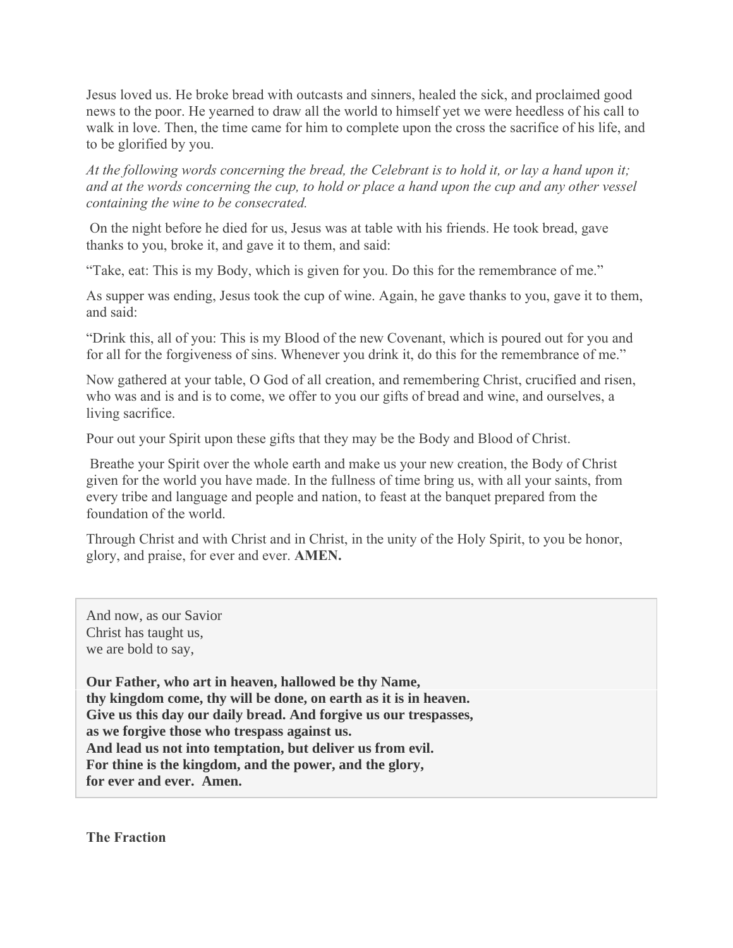Jesus loved us. He broke bread with outcasts and sinners, healed the sick, and proclaimed good news to the poor. He yearned to draw all the world to himself yet we were heedless of his call to walk in love. Then, the time came for him to complete upon the cross the sacrifice of his life, and to be glorified by you.

*At the following words concerning the bread, the Celebrant is to hold it, or lay a hand upon it; and at the words concerning the cup, to hold or place a hand upon the cup and any other vessel containing the wine to be consecrated.*

On the night before he died for us, Jesus was at table with his friends. He took bread, gave thanks to you, broke it, and gave it to them, and said:

"Take, eat: This is my Body, which is given for you. Do this for the remembrance of me."

As supper was ending, Jesus took the cup of wine. Again, he gave thanks to you, gave it to them, and said:

"Drink this, all of you: This is my Blood of the new Covenant, which is poured out for you and for all for the forgiveness of sins. Whenever you drink it, do this for the remembrance of me."

Now gathered at your table, O God of all creation, and remembering Christ, crucified and risen, who was and is and is to come, we offer to you our gifts of bread and wine, and ourselves, a living sacrifice.

Pour out your Spirit upon these gifts that they may be the Body and Blood of Christ.

Breathe your Spirit over the whole earth and make us your new creation, the Body of Christ given for the world you have made. In the fullness of time bring us, with all your saints, from every tribe and language and people and nation, to feast at the banquet prepared from the foundation of the world.

Through Christ and with Christ and in Christ, in the unity of the Holy Spirit, to you be honor, glory, and praise, for ever and ever. **AMEN.**

And now, as our Savior Christ has taught us, we are bold to say,

**Our Father, who art in heaven, hallowed be thy Name, thy kingdom come, thy will be done, on earth as it is in heaven. Give us this day our daily bread. And forgive us our trespasses, as we forgive those who trespass against us. And lead us not into temptation, but deliver us from evil. For thine is the kingdom, and the power, and the glory, for ever and ever. Amen.**

**The Fraction**